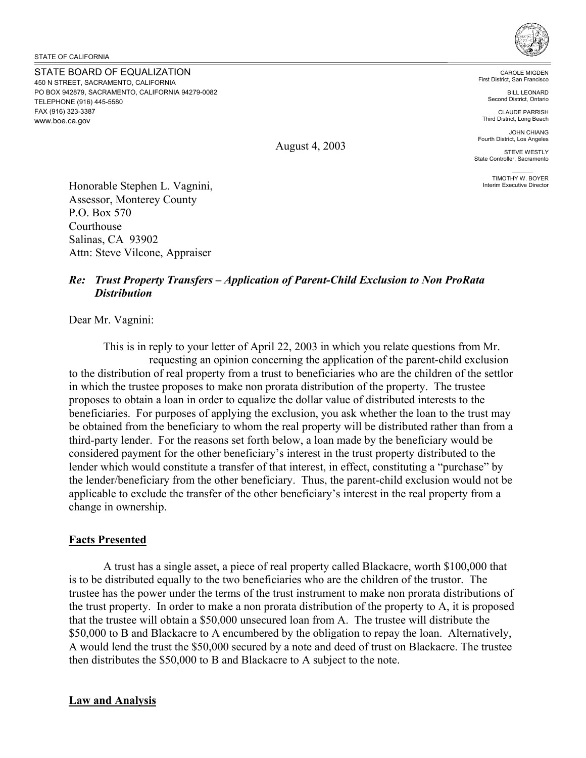STATE BOARD OF EQUALIZATION 450 N STREET, SACRAMENTO, CALIFORNIA PO BOX 942879, SACRAMENTO, CALIFORNIA 94279-0082 TELEPHONE (916) 445-5580 FAX (916) 323-3387 www.boe.ca.gov



CAROLE MIGDEN First District, San Francisco

> BILL LEONARD Second District, Ontario

CLAUDE PARRISH Third District, Long Beach

JOHN CHIANG Fourth District, Los Angeles

STEVE WESTLY State Controller, Sacramento

TIMOTHY W. BOYER<br>Interim Executive Director

Honorable Stephen L. Vagnini, Assessor, Monterey County P.O. Box 570 Courthouse Salinas, CA 93902 Attn: Steve Vilcone, Appraiser

# *Re: Trust Property Transfers – Application of Parent-Child Exclusion to Non ProRata Distribution*

Dear Mr. Vagnini:

This is in reply to your letter of April 22, 2003 in which you relate questions from Mr. requesting an opinion concerning the application of the parent-child exclusion to the distribution of real property from a trust to beneficiaries who are the children of the settlor in which the trustee proposes to make non prorata distribution of the property. The trustee proposes to obtain a loan in order to equalize the dollar value of distributed interests to the beneficiaries. For purposes of applying the exclusion, you ask whether the loan to the trust may be obtained from the beneficiary to whom the real property will be distributed rather than from a third-party lender. For the reasons set forth below, a loan made by the beneficiary would be considered payment for the other beneficiary's interest in the trust property distributed to the lender which would constitute a transfer of that interest, in effect, constituting a "purchase" by the lender/beneficiary from the other beneficiary. Thus, the parent-child exclusion would not be applicable to exclude the transfer of the other beneficiary's interest in the real property from a change in ownership.

# **Facts Presented**

A trust has a single asset, a piece of real property called Blackacre, worth \$100,000 that is to be distributed equally to the two beneficiaries who are the children of the trustor. The trustee has the power under the terms of the trust instrument to make non prorata distributions of the trust property. In order to make a non prorata distribution of the property to A, it is proposed that the trustee will obtain a \$50,000 unsecured loan from A. The trustee will distribute the \$50,000 to B and Blackacre to A encumbered by the obligation to repay the loan. Alternatively, A would lend the trust the \$50,000 secured by a note and deed of trust on Blackacre. The trustee then distributes the \$50,000 to B and Blackacre to A subject to the note.

#### **Law and Analysis**

August 4, 2003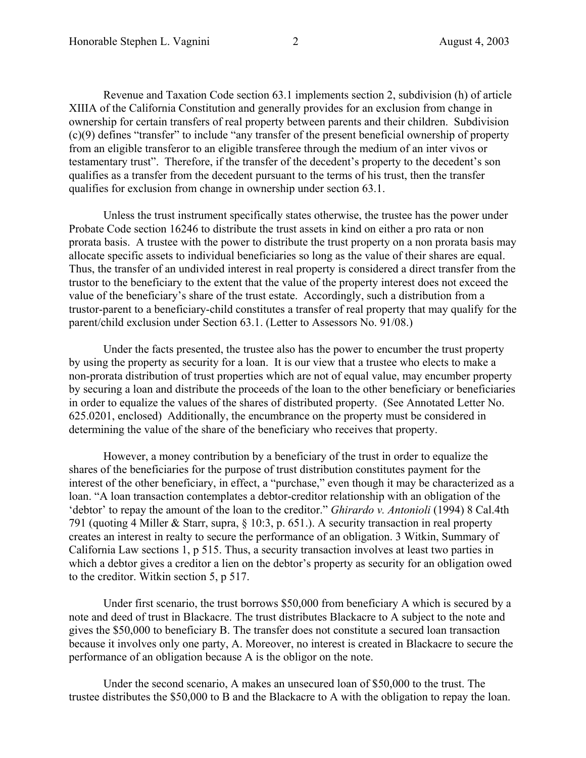Revenue and Taxation Code section 63.1 implements section 2, subdivision (h) of article XIIIA of the California Constitution and generally provides for an exclusion from change in ownership for certain transfers of real property between parents and their children. Subdivision (c)(9) defines "transfer" to include "any transfer of the present beneficial ownership of property from an eligible transferor to an eligible transferee through the medium of an inter vivos or testamentary trust". Therefore, if the transfer of the decedent's property to the decedent's son qualifies as a transfer from the decedent pursuant to the terms of his trust, then the transfer qualifies for exclusion from change in ownership under section 63.1.

Unless the trust instrument specifically states otherwise, the trustee has the power under Probate Code section 16246 to distribute the trust assets in kind on either a pro rata or non prorata basis. A trustee with the power to distribute the trust property on a non prorata basis may allocate specific assets to individual beneficiaries so long as the value of their shares are equal. Thus, the transfer of an undivided interest in real property is considered a direct transfer from the trustor to the beneficiary to the extent that the value of the property interest does not exceed the value of the beneficiary's share of the trust estate. Accordingly, such a distribution from a trustor-parent to a beneficiary-child constitutes a transfer of real property that may qualify for the parent/child exclusion under Section 63.1. (Letter to Assessors No. 91/08.)

Under the facts presented, the trustee also has the power to encumber the trust property by using the property as security for a loan. It is our view that a trustee who elects to make a non-prorata distribution of trust properties which are not of equal value, may encumber property by securing a loan and distribute the proceeds of the loan to the other beneficiary or beneficiaries in order to equalize the values of the shares of distributed property. (See Annotated Letter No. 625.0201, enclosed) Additionally, the encumbrance on the property must be considered in determining the value of the share of the beneficiary who receives that property.

However, a money contribution by a beneficiary of the trust in order to equalize the shares of the beneficiaries for the purpose of trust distribution constitutes payment for the interest of the other beneficiary, in effect, a "purchase," even though it may be characterized as a loan. "A loan transaction contemplates a debtor-creditor relationship with an obligation of the 'debtor' to repay the amount of the loan to the creditor." *Ghirardo v. Antonioli* (1994) 8 Cal.4th 791 (quoting 4 Miller & Starr, supra, § 10:3, p. 651.). A security transaction in real property creates an interest in realty to secure the performance of an obligation. 3 Witkin, Summary of California Law sections 1, p 515. Thus, a security transaction involves at least two parties in which a debtor gives a creditor a lien on the debtor's property as security for an obligation owed to the creditor. Witkin section 5, p 517.

Under first scenario, the trust borrows \$50,000 from beneficiary A which is secured by a note and deed of trust in Blackacre. The trust distributes Blackacre to A subject to the note and gives the \$50,000 to beneficiary B. The transfer does not constitute a secured loan transaction because it involves only one party, A. Moreover, no interest is created in Blackacre to secure the performance of an obligation because A is the obligor on the note.

Under the second scenario, A makes an unsecured loan of \$50,000 to the trust. The trustee distributes the \$50,000 to B and the Blackacre to A with the obligation to repay the loan.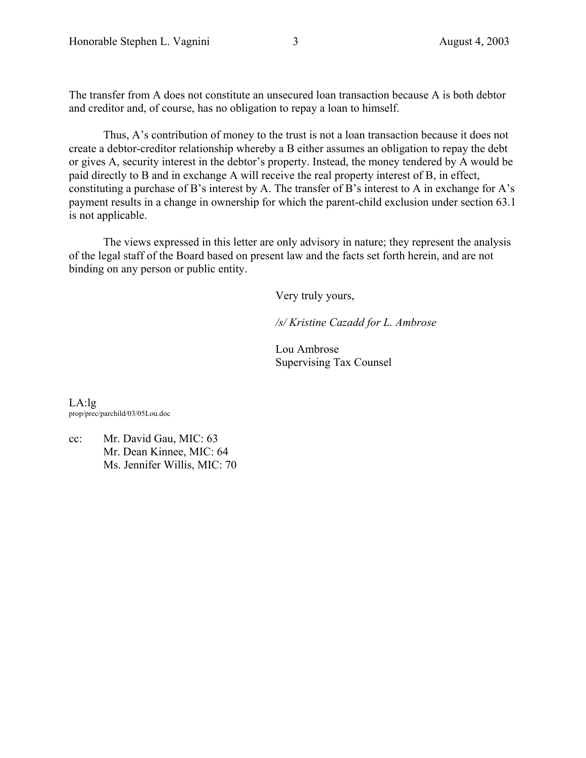The transfer from A does not constitute an unsecured loan transaction because A is both debtor and creditor and, of course, has no obligation to repay a loan to himself.

Thus, A's contribution of money to the trust is not a loan transaction because it does not create a debtor-creditor relationship whereby a B either assumes an obligation to repay the debt or gives A, security interest in the debtor's property. Instead, the money tendered by A would be paid directly to B and in exchange A will receive the real property interest of B, in effect, constituting a purchase of B's interest by A. The transfer of B's interest to A in exchange for A's payment results in a change in ownership for which the parent-child exclusion under section 63.1 is not applicable.

The views expressed in this letter are only advisory in nature; they represent the analysis of the legal staff of the Board based on present law and the facts set forth herein, and are not binding on any person or public entity.

Very truly yours,

*/s/ Kristine Cazadd for L. Ambrose*

Lou Ambrose Supervising Tax Counsel

 $LA:lg$ prop/prec/parchild/03/05Lou.doc

cc: Mr. David Gau, MIC: 63 Mr. Dean Kinnee, MIC: 64 Ms. Jennifer Willis, MIC: 70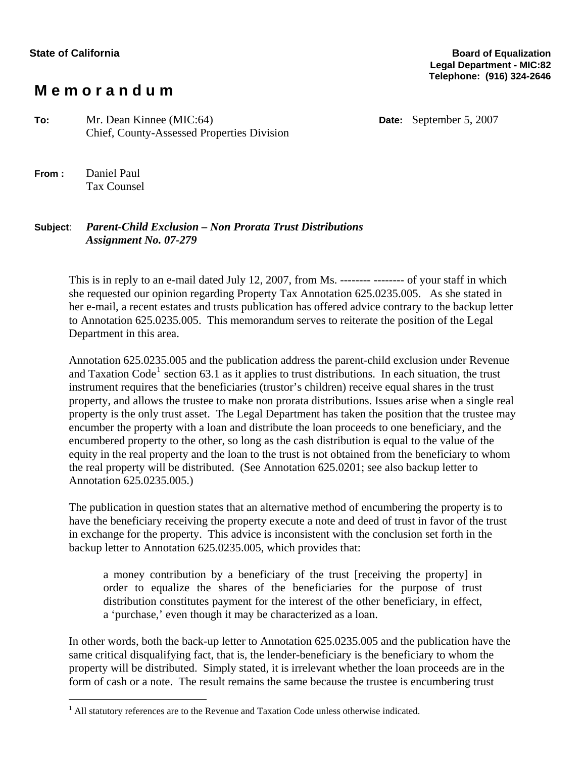# **M e m o r a n d u m**

**To:** Mr. Dean Kinnee (MIC:64) **Date:** September 5, 2007 Chief, County-Assessed Properties Division

**From :** Daniel Paul Tax Counsel

# **Subject**: *Parent-Child Exclusion – Non Prorata Trust Distributions Assignment No. 07-279*

This is in reply to an e-mail dated July 12, 2007, from Ms. -------- -------- of your staff in which she requested our opinion regarding Property Tax Annotation 625.0235.005. As she stated in her e-mail, a recent estates and trusts publication has offered advice contrary to the backup letter to Annotation 625.0235.005. This memorandum serves to reiterate the position of the Legal Department in this area.

Annotation 625.0235.005 and the publication address the parent-child exclusion under Revenue and Taxation Code<sup>[1](#page-3-0)</sup> section 63.1 as it applies to trust distributions. In each situation, the trust instrument requires that the beneficiaries (trustor's children) receive equal shares in the trust property, and allows the trustee to make non prorata distributions. Issues arise when a single real property is the only trust asset. The Legal Department has taken the position that the trustee may encumber the property with a loan and distribute the loan proceeds to one beneficiary, and the encumbered property to the other, so long as the cash distribution is equal to the value of the equity in the real property and the loan to the trust is not obtained from the beneficiary to whom the real property will be distributed. (See Annotation 625.0201; see also backup letter to Annotation 625.0235.005.)

The publication in question states that an alternative method of encumbering the property is to have the beneficiary receiving the property execute a note and deed of trust in favor of the trust in exchange for the property. This advice is inconsistent with the conclusion set forth in the backup letter to Annotation 625.0235.005, which provides that:

a money contribution by a beneficiary of the trust [receiving the property] in order to equalize the shares of the beneficiaries for the purpose of trust distribution constitutes payment for the interest of the other beneficiary, in effect, a 'purchase,' even though it may be characterized as a loan.

In other words, both the back-up letter to Annotation 625.0235.005 and the publication have the same critical disqualifying fact, that is, the lender-beneficiary is the beneficiary to whom the property will be distributed. Simply stated, it is irrelevant whether the loan proceeds are in the form of cash or a note. The result remains the same because the trustee is encumbering trust

<span id="page-3-0"></span><sup>&</sup>lt;sup>1</sup> All statutory references are to the Revenue and Taxation Code unless otherwise indicated.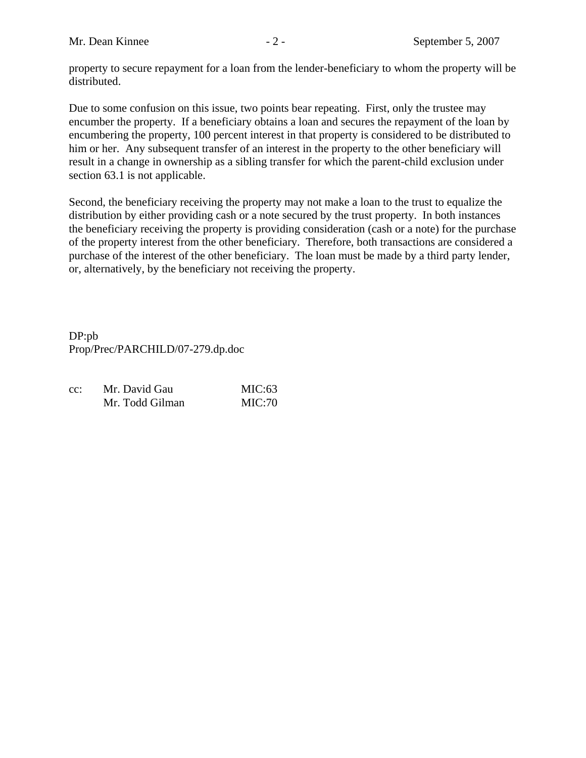property to secure repayment for a loan from the lender-beneficiary to whom the property will be distributed.

Due to some confusion on this issue, two points bear repeating. First, only the trustee may encumber the property. If a beneficiary obtains a loan and secures the repayment of the loan by encumbering the property, 100 percent interest in that property is considered to be distributed to him or her. Any subsequent transfer of an interest in the property to the other beneficiary will result in a change in ownership as a sibling transfer for which the parent-child exclusion under section 63.1 is not applicable.

Second, the beneficiary receiving the property may not make a loan to the trust to equalize the distribution by either providing cash or a note secured by the trust property. In both instances the beneficiary receiving the property is providing consideration (cash or a note) for the purchase of the property interest from the other beneficiary. Therefore, both transactions are considered a purchase of the interest of the other beneficiary. The loan must be made by a third party lender, or, alternatively, by the beneficiary not receiving the property.

DP:pb Prop/Prec/PARCHILD/07-279.dp.doc

| $cc$ : | Mr. David Gau   | MIC: 63 |
|--------|-----------------|---------|
|        | Mr. Todd Gilman | MIC:70  |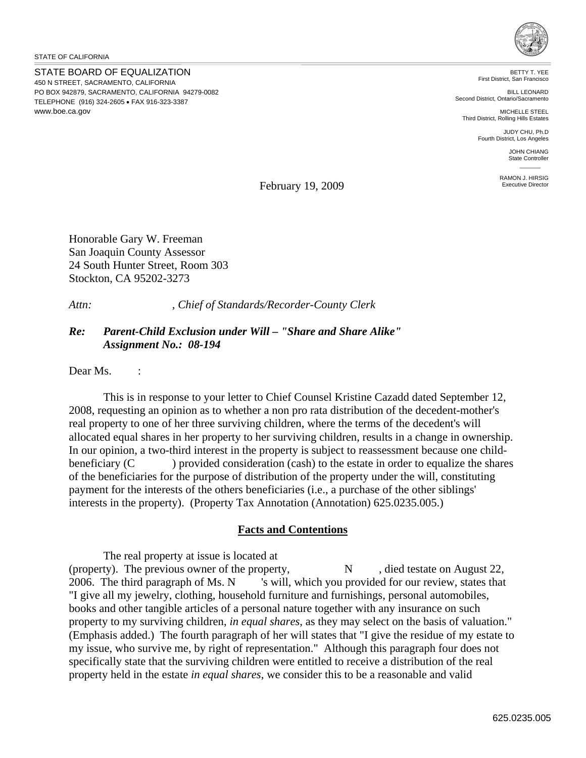STATE OF CALIFORNIA

STATE BOARD OF EQUALIZATION 450 N STREET, SACRAMENTO, CALIFORNIA PO BOX 942879, SACRAMENTO, CALIFORNIA 94279-0082 TELEPHONE (916) 324-2605 • FAX 916-323-3387 www.boe.ca.gov



BETTY T. YEE First District, San Francisco

BILL LEONARD Second District, Ontario/Sacramento

MICHELLE STEEL Third District, Rolling Hills Estates

> JUDY CHU, Ph.D Fourth District, Los Angeles

> > JOHN CHIANG State Controller

RAMON J. HIRSIG Executive Director

February 19, 2009

Honorable Gary W. Freeman San Joaquin County Assessor 24 South Hunter Street, Room 303 Stockton, CA 95202-3273

*Attn: , Chief of Standards/Recorder-County Clerk* 

### *Re: Parent-Child Exclusion under Will – "Share and Share Alike" Assignment No.: 08-194*

Dear Ms. :

This is in response to your letter to Chief Counsel Kristine Cazadd dated September 12, 2008, requesting an opinion as to whether a non pro rata distribution of the decedent-mother's real property to one of her three surviving children, where the terms of the decedent's will allocated equal shares in her property to her surviving children, results in a change in ownership. In our opinion, a two-third interest in the property is subject to reassessment because one childbeneficiary (C ) provided consideration (cash) to the estate in order to equalize the shares of the beneficiaries for the purpose of distribution of the property under the will, constituting payment for the interests of the others beneficiaries (i.e., a purchase of the other siblings' interests in the property). (Property Tax Annotation (Annotation) 625.0235.005.)

#### **Facts and Contentions**

The real property at issue is located at (property). The previous owner of the property,  $N$ , died testate on August 22, 2006. The third paragraph of Ms. N 's will, which you provided for our review, states that "I give all my jewelry, clothing, household furniture and furnishings, personal automobiles, books and other tangible articles of a personal nature together with any insurance on such property to my surviving children, *in equal shares*, as they may select on the basis of valuation." (Emphasis added.) The fourth paragraph of her will states that "I give the residue of my estate to my issue, who survive me, by right of representation." Although this paragraph four does not specifically state that the surviving children were entitled to receive a distribution of the real property held in the estate *in equal shares*, we consider this to be a reasonable and valid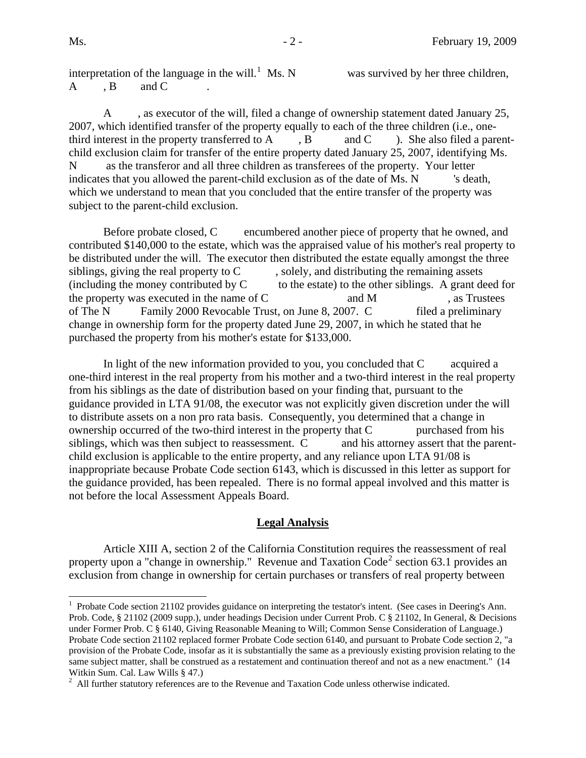$\overline{a}$ 

interpretation of the language in the will.<sup>[1](#page-6-0)</sup> Ms. N A , B and C

was survived by her three children,

A , as executor of the will, filed a change of ownership statement dated January 25, 2007, which identified transfer of the property equally to each of the three children (i.e., onethird interest in the property transferred to A  $, B$  and C ). She also filed a parentchild exclusion claim for transfer of the entire property dated January 25, 2007, identifying Ms. N as the transferor and all three children as transferees of the property. Your letter indicates that you allowed the parent-child exclusion as of the date of Ms. N 's death, which we understand to mean that you concluded that the entire transfer of the property was subject to the parent-child exclusion.

Before probate closed, C encumbered another piece of property that he owned, and contributed \$140,000 to the estate, which was the appraised value of his mother's real property to be distributed under the will. The executor then distributed the estate equally amongst the three siblings, giving the real property to  $C \qquad$ , solely, and distributing the remaining assets (including the money contributed by  $C \tto$  to the estate) to the other siblings. A grant deed for the property was executed in the name of  $C$  and  $M$ , as Trustees of The N Family 2000 Revocable Trust, on June 8, 2007. C filed a preliminary change in ownership form for the property dated June 29, 2007, in which he stated that he purchased the property from his mother's estate for \$133,000.

In light of the new information provided to you, you concluded that C acquired a one-third interest in the real property from his mother and a two-third interest in the real property from his siblings as the date of distribution based on your finding that, pursuant to the guidance provided in LTA 91/08, the executor was not explicitly given discretion under the will to distribute assets on a non pro rata basis. Consequently, you determined that a change in ownership occurred of the two-third interest in the property that  $C$  purchased from his siblings, which was then subject to reassessment. C and his attorney assert that the parentchild exclusion is applicable to the entire property, and any reliance upon LTA 91/08 is inappropriate because Probate Code section 6143, which is discussed in this letter as support for the guidance provided, has been repealed. There is no formal appeal involved and this matter is not before the local Assessment Appeals Board.

#### **Legal Analysis**

Article XIII A, section 2 of the California Constitution requires the reassessment of real property upon a "change in ownership." Revenue and Taxation  $\text{Code}^2$  $\text{Code}^2$  section 63.1 provides an exclusion from change in ownership for certain purchases or transfers of real property between

<span id="page-6-0"></span><sup>&</sup>lt;sup>1</sup> Probate Code section 21102 provides guidance on interpreting the testator's intent. (See cases in Deering's Ann. Prob. Code, § 21102 (2009 supp.), under headings Decision under Current Prob. C § 21102, In General, & Decisions under Former Prob. C § 6140, Giving Reasonable Meaning to Will; Common Sense Consideration of Language.) Probate Code section 21102 replaced former Probate Code section 6140, and pursuant to Probate Code section 2, "a provision of the Probate Code, insofar as it is substantially the same as a previously existing provision relating to the same subject matter, shall be construed as a restatement and continuation thereof and not as a new enactment." (14 Witkin Sum. Cal. Law Wills § 47.)

<span id="page-6-1"></span> $^2$  All further statutory references are to the Revenue and Taxation Code unless otherwise indicated.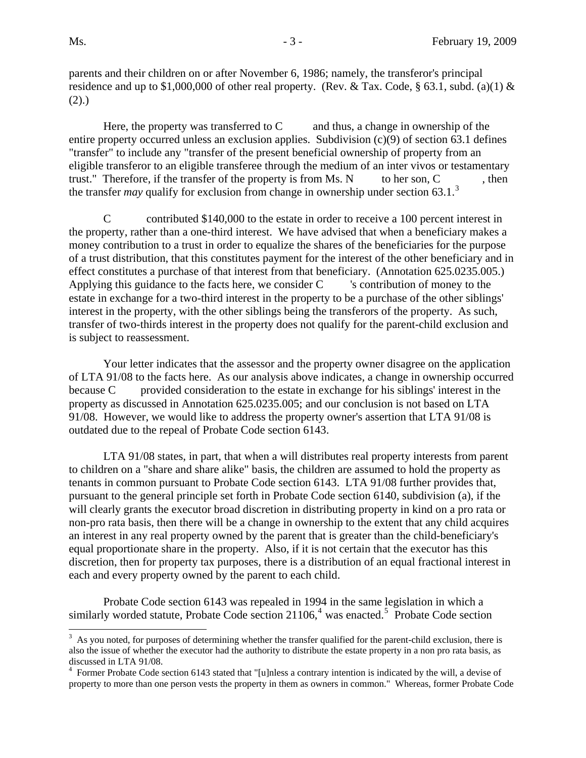$\overline{a}$ 

parents and their children on or after November 6, 1986; namely, the transferor's principal residence and up to \$1,000,000 of other real property. (Rev. & Tax. Code, § 63.1, subd. (a)(1) &  $(2).$ 

Here, the property was transferred to  $C$  and thus, a change in ownership of the entire property occurred unless an exclusion applies. Subdivision (c)(9) of section 63.1 defines "transfer" to include any "transfer of the present beneficial ownership of property from an eligible transferor to an eligible transferee through the medium of an inter vivos or testamentary trust." Therefore, if the transfer of the property is from Ms.  $N$  to her son,  $C$ , then the transfer *may* qualify for exclusion from change in ownership under section 6[3](#page-7-0).1.<sup>3</sup>

C contributed \$140,000 to the estate in order to receive a 100 percent interest in the property, rather than a one-third interest. We have advised that when a beneficiary makes a money contribution to a trust in order to equalize the shares of the beneficiaries for the purpose of a trust distribution, that this constitutes payment for the interest of the other beneficiary and in effect constitutes a purchase of that interest from that beneficiary. (Annotation 625.0235.005.) Applying this guidance to the facts here, we consider C scontribution of money to the estate in exchange for a two-third interest in the property to be a purchase of the other siblings' interest in the property, with the other siblings being the transferors of the property. As such, transfer of two-thirds interest in the property does not qualify for the parent-child exclusion and is subject to reassessment.

Your letter indicates that the assessor and the property owner disagree on the application of LTA 91/08 to the facts here. As our analysis above indicates, a change in ownership occurred because C provided consideration to the estate in exchange for his siblings' interest in the property as discussed in Annotation 625.0235.005; and our conclusion is not based on LTA 91/08. However, we would like to address the property owner's assertion that LTA 91/08 is outdated due to the repeal of Probate Code section 6143.

 LTA 91/08 states, in part, that when a will distributes real property interests from parent to children on a "share and share alike" basis, the children are assumed to hold the property as tenants in common pursuant to Probate Code section 6143. LTA 91/08 further provides that, pursuant to the general principle set forth in Probate Code section 6140, subdivision (a), if the will clearly grants the executor broad discretion in distributing property in kind on a pro rata or non-pro rata basis, then there will be a change in ownership to the extent that any child acquires an interest in any real property owned by the parent that is greater than the child-beneficiary's equal proportionate share in the property. Also, if it is not certain that the executor has this discretion, then for property tax purposes, there is a distribution of an equal fractional interest in each and every property owned by the parent to each child.

<span id="page-7-2"></span>Probate Code section 6143 was repealed in 1994 in the same legislation in which a similarly worded statute, Probate Code section  $21106<sup>4</sup>$  $21106<sup>4</sup>$  $21106<sup>4</sup>$  was enacted.<sup>[5](#page-7-2)</sup> Probate Code section

<span id="page-7-0"></span> $3$  As you noted, for purposes of determining whether the transfer qualified for the parent-child exclusion, there is also the issue of whether the executor had the authority to distribute the estate property in a non pro rata basis, as discussed in LTA 91/08.

<span id="page-7-1"></span><sup>&</sup>lt;sup>4</sup> Former Probate Code section 6143 stated that "[u]nless a contrary intention is indicated by the will, a devise of property to more than one person vests the property in them as owners in common." Whereas, former Probate Code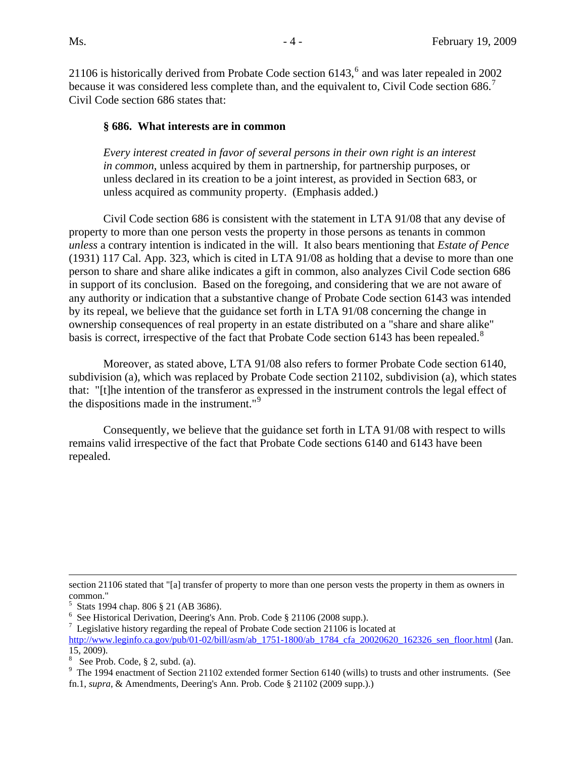2110[6](#page-8-0) is historically derived from Probate Code section  $6143<sup>6</sup>$  and was later repealed in 2002 because it was considered less complete than, and the equivalent to, Civil Code section 686.<sup>[7](#page-8-1)</sup> Civil Code section 686 states that:

#### **§ 686. What interests are in common**

*Every interest created in favor of several persons in their own right is an interest in common*, unless acquired by them in partnership, for partnership purposes, or unless declared in its creation to be a joint interest, as provided in Section 683, or unless acquired as community property. (Emphasis added.)

 Civil Code section 686 is consistent with the statement in LTA 91/08 that any devise of property to more than one person vests the property in those persons as tenants in common *unless* a contrary intention is indicated in the will. It also bears mentioning that *Estate of Pence* (1931) 117 Cal. App. 323, which is cited in LTA 91/08 as holding that a devise to more than one person to share and share alike indicates a gift in common, also analyzes Civil Code section 686 in support of its conclusion. Based on the foregoing, and considering that we are not aware of any authority or indication that a substantive change of Probate Code section 6143 was intended by its repeal, we believe that the guidance set forth in LTA 91/08 concerning the change in ownership consequences of real property in an estate distributed on a "share and share alike" basis is correct, irrespective of the fact that Probate Code section 6143 has been repealed.<sup>[8](#page-8-2)</sup>

Moreover, as stated above, LTA 91/08 also refers to former Probate Code section 6140, subdivision (a), which was replaced by Probate Code section 21102, subdivision (a), which states that: "[t]he intention of the transferor as expressed in the instrument controls the legal effect of the dispositions made in the instrument."[9](#page-8-3)

Consequently, we believe that the guidance set forth in LTA 91/08 with respect to wills remains valid irrespective of the fact that Probate Code sections 6140 and 6143 have been repealed.

 $\overline{a}$ 

section 21106 stated that "[a] transfer of property to more than one person vests the property in them as owners in common."

<sup>5</sup> Stats 1994 chap. 806 § 21 (AB 3686).

<span id="page-8-0"></span><sup>6</sup> See Historical Derivation, Deering's Ann. Prob. Code § 21106 (2008 supp.).

<span id="page-8-1"></span> $7$  Legislative history regarding the repeal of Probate Code section 21106 is located at [http://www.leginfo.ca.gov/pub/01-02/bill/asm/ab\\_1751-1800/ab\\_1784\\_cfa\\_20020620\\_162326\\_sen\\_floor.html](http://www.leginfo.ca.gov/pub/01-02/bill/asm/ab_1751-1800/ab_1784_cfa_20020620_162326_sen_floor.html) (Jan. 15, 2009).

<span id="page-8-2"></span> $8$  See Prob. Code,  $§$  2, subd. (a).

<span id="page-8-3"></span> $9$  The 1994 enactment of Section 21102 extended former Section 6140 (wills) to trusts and other instruments. (See fn.1, *supra*, & Amendments, Deering's Ann. Prob. Code § 21102 (2009 supp.).)